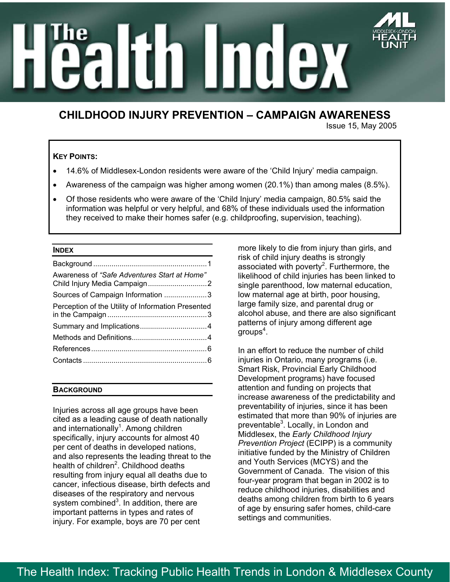# mdex  $\mathbf n$

# **CHILDHOOD INJURY PREVENTION – CAMPAIGN AWARENESS**

Issue 15, May 2005

# **KEY POINTS:**

- 14.6% of Middlesex-London residents were aware of the 'Child Injury' media campaign.
- Awareness of the campaign was higher among women (20.1%) than among males (8.5%).
- Of those residents who were aware of the 'Child Injury' media campaign, 80.5% said the information was helpful or very helpful, and 68% of these individuals used the information they received to make their homes safer (e.g. childproofing, supervision, teaching).

# **INDEX**

| Awareness of "Safe Adventures Start at Home"       |  |
|----------------------------------------------------|--|
| Sources of Campaign Information 3                  |  |
| Perception of the Utility of Information Presented |  |
|                                                    |  |
|                                                    |  |
|                                                    |  |
|                                                    |  |

# **BACKGROUND**

Injuries across all age groups have been cited as a leading cause of death nationally and internationally<sup>1</sup>. Among children specifically, injury accounts for almost 40 per cent of deaths in developed nations, and also represents the leading threat to the health of children<sup>2</sup>. Childhood deaths resulting from injury equal all deaths due to cancer, infectious disease, birth defects and diseases of the respiratory and nervous system combined<sup>3</sup>. In addition, there are important patterns in types and rates of injury. For example, boys are 70 per cent

more likely to die from injury than girls, and risk of child injury deaths is strongly associated with poverty<sup>2</sup>. Furthermore, the likelihood of child injuries has been linked to single parenthood, low maternal education, low maternal age at birth, poor housing, large family size, and parental drug or alcohol abuse, and there are also significant patterns of injury among different age  $\mathrm{groups}^4.$ 

In an effort to reduce the number of child injuries in Ontario, many programs (i.e. Smart Risk, Provincial Early Childhood Development programs) have focused attention and funding on projects that increase awareness of the predictability and preventability of injuries, since it has been estimated that more than 90% of injuries are preventable<sup>3</sup>. Locally, in London and Middlesex, the *Early Childhood Injury Prevention Project* (ECIPP) is a community initiative funded by the Ministry of Children and Youth Services (MCYS) and the Government of Canada. The vision of this four-year program that began in 2002 is to reduce childhood injuries, disabilities and deaths among children from birth to 6 years of age by ensuring safer homes, child-care settings and communities.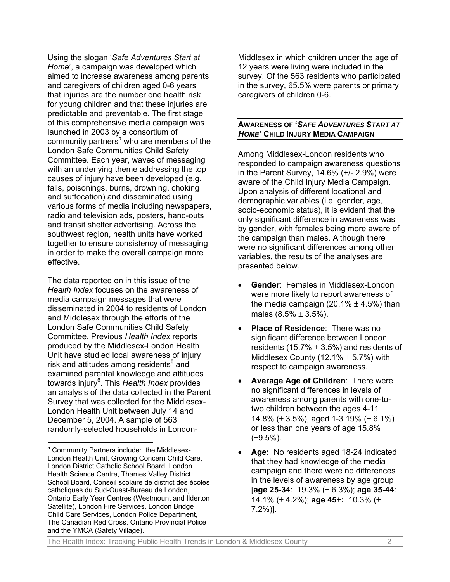Using the slogan '*Safe Adventures Start at Home*', a campaign was developed which aimed to increase awareness among parents and caregivers of children aged 0-6 years that injuries are the number one health risk for young children and that these injuries are predictable and preventable. The first stage of this comprehensive media campaign was launched in 2003 by a consortium of communitypartners<sup>a</sup> who are members of the London Safe Communities Child Safety Committee. Each year, waves of messaging with an underlying theme addressing the top causes of injury have been developed (e.g. falls, poisonings, burns, drowning, choking and suffocation) and disseminated using various forms of media including newspapers, radio and television ads, posters, hand-outs and transit shelter advertising. Across the southwest region, health units have worked together to ensure consistency of messaging in order to make the overall campaign more effective.

The data reported on in this issue of the *Health Index* focuses on the awareness of media campaign messages that were disseminated in 2004 to residents of London and Middlesex through the efforts of the London Safe Communities Child Safety Committee. Previous *Health Index* reports produced by the Middlesex-London Health Unit have studied local awareness of injury risk and attitudes among residents<sup>5</sup> and examined parental knowledge and attitudes towards injury<sup>6</sup>. This Health Index provides an analysis of the data collected in the Parent Survey that was collected for the Middlesex-London Health Unit between July 14 and December 5, 2004. A sample of 563 randomly-selected households in London-

l

Middlesex in which children under the age of 12 years were living were included in the survey. Of the 563 residents who participated in the survey, 65.5% were parents or primary caregivers of children 0-6.

# **AWARENESS OF '***SAFE ADVENTURES START AT HOME'* **CHILD INJURY MEDIA CAMPAIGN**

Among Middlesex-London residents who responded to campaign awareness questions in the Parent Survey, 14.6% (+/- 2.9%) were aware of the Child Injury Media Campaign. Upon analysis of different locational and demographic variables (i.e. gender, age, socio-economic status), it is evident that the only significant difference in awareness was by gender, with females being more aware of the campaign than males. Although there were no significant differences among other variables, the results of the analyses are presented below.

- **Gender**: Females in Middlesex-London were more likely to report awareness of the media campaign (20.1%  $\pm$  4.5%) than males  $(8.5\% \pm 3.5\%).$
- **Place of Residence: There was no** significant difference between London residents (15.7%  $\pm$  3.5%) and residents of Middlesex County (12.1%  $\pm$  5.7%) with respect to campaign awareness.
- **Average Age of Children**: There were no significant differences in levels of awareness among parents with one-totwo children between the ages 4-11 14.8% ( $\pm$  3.5%), aged 1-3 19% ( $\pm$  6.1%) or less than one years of age 15.8%  $(\pm 9.5\%)$ .
- **Age:** No residents aged 18-24 indicated that they had knowledge of the media campaign and there were no differences in the levels of awareness by age group [**age 25-34**: 19.3% (± 6.3%); **age 35-44**: 14.1% (± 4.2%); **age 45+:** 10.3% (± 7.2%)].

The Health Index: Tracking Public Health Trends in London & Middlesex County 2

<span id="page-1-0"></span>a Community Partners include: the Middlesex-London Health Unit, Growing Concern Child Care, London District Catholic School Board, London Health Science Centre, Thames Valley District School Board, Conseil scolaire de district des écoles catholiques du Sud-Ouest-Bureau de London, Ontario Early Year Centres (Westmount and Ilderton Satellite), London Fire Services, London Bridge Child Care Services, London Police Department, The Canadian Red Cross, Ontario Provincial Police and the YMCA (Safety Village).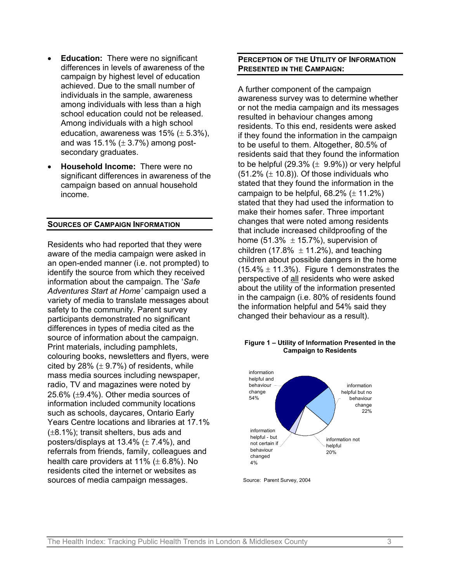- **Education:** There were no significant differences in levels of awareness of the campaign by highest level of education achieved. Due to the small number of individuals in the sample, awareness among individuals with less than a high school education could not be released. Among individuals with a high school education, awareness was  $15\%$  ( $\pm$  5.3%), and was  $15.1\%$  ( $\pm$  3.7%) among postsecondary graduates.
- **Household Income:** There were no significant differences in awareness of the campaign based on annual household income.

### **SOURCES OF CAMPAIGN INFORMATION**

Residents who had reported that they were aware of the media campaign were asked in an open-ended manner (i.e. not prompted) to identify the source from which they received information about the campaign. The '*Safe Adventures Start at Home'* campaign used a variety of media to translate messages about safety to the community. Parent survey participants demonstrated no significant differences in types of media cited as the source of information about the campaign. Print materials, including pamphlets, colouring books, newsletters and flyers, were cited by 28%  $(\pm 9.7%)$  of residents, while mass media sources including newspaper, radio, TV and magazines were noted by 25.6% (±9.4%). Other media sources of information included community locations such as schools, daycares, Ontario Early Years Centre locations and libraries at 17.1%  $(\pm 8.1\%)$ ; transit shelters, bus ads and posters/displays at  $13.4\%$  ( $\pm$  7.4%), and referrals from friends, family, colleagues and health care providers at  $11\%$  ( $\pm$  6.8%). No residents cited the internet or websites as sources of media campaign messages.

# **PERCEPTION OF THE UTILITY OF INFORMATION PRESENTED IN THE CAMPAIGN:**

A further component of the campaign awareness survey was to determine whether or not the media campaign and its messages resulted in behaviour changes among residents. To this end, residents were asked if they found the information in the campaign to be useful to them. Altogether, 80.5% of residents said that they found the information to be helpful (29.3%  $(\pm 9.9\%)$ ) or very helpful  $(51.2\%$  ( $\pm$  10.8)). Of those individuals who stated that they found the information in the campaign to be helpful,  $68.2\%$  ( $\pm$  11.2%) stated that they had used the information to make their homes safer. Three important changes that were noted among residents that include increased childproofing of the home (51.3%  $\pm$  15.7%), supervision of children (17.8%  $\pm$  11.2%), and teaching children about possible dangers in the home  $(15.4\% \pm 11.3\%)$ . Figure 1 demonstrates the perspective of all residents who were asked about the utility of the information presented in the campaign (i.e. 80% of residents found the information helpful and 54% said they changed their behaviour as a result).

### **Figure 1 – Utility of Information Presented in the Campaign to Residents**



Source: Parent Survey, 2004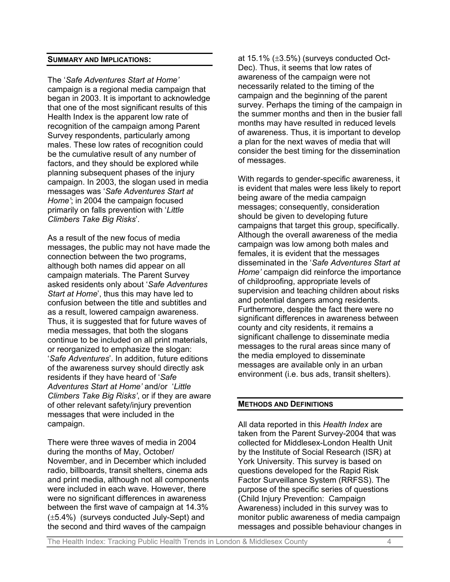## **SUMMARY AND IMPLICATIONS:**

The '*Safe Adventures Start at Home'* campaign is a regional media campaign that began in 2003. It is important to acknowledge that one of the most significant results of this Health Index is the apparent low rate of recognition of the campaign among Parent Survey respondents, particularly among males. These low rates of recognition could be the cumulative result of any number of factors, and they should be explored while planning subsequent phases of the injury campaign. In 2003, the slogan used in media messages was '*Safe Adventures Start at Home'*; in 2004 the campaign focused primarily on falls prevention with '*Little Climbers Take Big Risks*'.

As a result of the new focus of media messages, the public may not have made the connection between the two programs, although both names did appear on all campaign materials. The Parent Survey asked residents only about '*Safe Adventures Start at Home*', thus this may have led to confusion between the title and subtitles and as a result, lowered campaign awareness. Thus, it is suggested that for future waves of media messages, that both the slogans continue to be included on all print materials, or reorganized to emphasize the slogan: '*Safe Adventures*'. In addition, future editions of the awareness survey should directly ask residents if they have heard of '*Safe Adventures Start at Home'* and/or '*Little Climbers Take Big Risks'*, or if they are aware of other relevant safety/injury prevention messages that were included in the campaign.

There were three waves of media in 2004 during the months of May, October/ November, and in December which included radio, billboards, transit shelters, cinema ads and print media, although not all components were included in each wave. However, there were no significant differences in awareness between the first wave of campaign at 14.3% (±5.4%) (surveys conducted July-Sept) and the second and third waves of the campaign

at 15.1%  $(\pm 3.5\%)$  (surveys conducted Oct-Dec). Thus, it seems that low rates of awareness of the campaign were not necessarily related to the timing of the campaign and the beginning of the parent survey. Perhaps the timing of the campaign in the summer months and then in the busier fall months may have resulted in reduced levels of awareness. Thus, it is important to develop a plan for the next waves of media that will consider the best timing for the dissemination of messages.

With regards to gender-specific awareness, it is evident that males were less likely to report being aware of the media campaign messages; consequently, consideration should be given to developing future campaigns that target this group, specifically. Although the overall awareness of the media campaign was low among both males and females, it is evident that the messages disseminated in the '*Safe Adventures Start at Home'* campaign did reinforce the importance of childproofing, appropriate levels of supervision and teaching children about risks and potential dangers among residents. Furthermore, despite the fact there were no significant differences in awareness between county and city residents, it remains a significant challenge to disseminate media messages to the rural areas since many of the media employed to disseminate messages are available only in an urban environment (i.e. bus ads, transit shelters).

# **METHODS AND DEFINITIONS**

All data reported in this *Health Index* are taken from the Parent Survey-2004 that was collected for Middlesex-London Health Unit by the Institute of Social Research (ISR) at York University. This survey is based on questions developed for the Rapid Risk Factor Surveillance System (RRFSS). The purpose of the specific series of questions (Child Injury Prevention: Campaign Awareness) included in this survey was to monitor public awareness of media campaign messages and possible behaviour changes in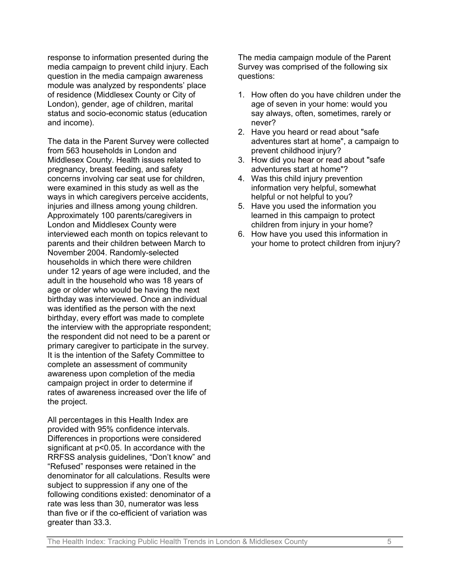response to information presented during the media campaign to prevent child injury. Each question in the media campaign awareness module was analyzed by respondents' place of residence (Middlesex County or City of London), gender, age of children, marital status and socio-economic status (education and income).

The data in the Parent Survey were collected from 563 households in London and Middlesex County. Health issues related to pregnancy, breast feeding, and safety concerns involving car seat use for children, were examined in this study as well as the ways in which caregivers perceive accidents, injuries and illness among young children. Approximately 100 parents/caregivers in London and Middlesex County were interviewed each month on topics relevant to parents and their children between March to November 2004. Randomly-selected households in which there were children under 12 years of age were included, and the adult in the household who was 18 years of age or older who would be having the next birthday was interviewed. Once an individual was identified as the person with the next birthday, every effort was made to complete the interview with the appropriate respondent; the respondent did not need to be a parent or primary caregiver to participate in the survey. It is the intention of the Safety Committee to complete an assessment of community awareness upon completion of the media campaign project in order to determine if rates of awareness increased over the life of the project.

All percentages in this Health Index are provided with 95% confidence intervals. Differences in proportions were considered significant at p<0.05. In accordance with the RRFSS analysis guidelines, "Don't know" and "Refused" responses were retained in the denominator for all calculations. Results were subject to suppression if any one of the following conditions existed: denominator of a rate was less than 30, numerator was less than five or if the co-efficient of variation was greater than 33.3.

The media campaign module of the Parent Survey was comprised of the following six questions:

- 1. How often do you have children under the age of seven in your home: would you say always, often, sometimes, rarely or never?
- 2. Have you heard or read about "safe adventures start at home", a campaign to prevent childhood injury?
- 3. How did you hear or read about "safe adventures start at home"?
- 4. Was this child injury prevention information very helpful, somewhat helpful or not helpful to you?
- 5. Have you used the information you learned in this campaign to protect children from injury in your home?
- 6. How have you used this information in your home to protect children from injury?